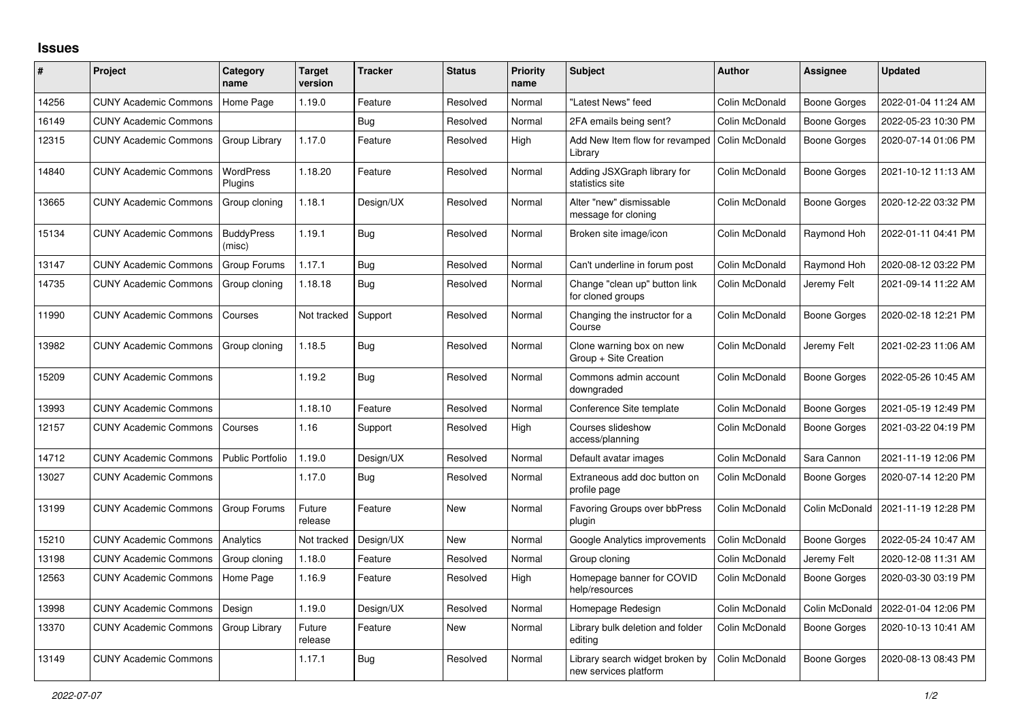## **Issues**

| ∦     | Project                      | Category<br>name            | <b>Target</b><br>version | <b>Tracker</b> | <b>Status</b> | Priority<br>name | <b>Subject</b>                                           | <b>Author</b>  | <b>Assignee</b>     | <b>Updated</b>      |
|-------|------------------------------|-----------------------------|--------------------------|----------------|---------------|------------------|----------------------------------------------------------|----------------|---------------------|---------------------|
| 14256 | <b>CUNY Academic Commons</b> | Home Page                   | 1.19.0                   | Feature        | Resolved      | Normal           | 'Latest News" feed                                       | Colin McDonald | <b>Boone Gorges</b> | 2022-01-04 11:24 AM |
| 16149 | <b>CUNY Academic Commons</b> |                             |                          | Bug            | Resolved      | Normal           | 2FA emails being sent?                                   | Colin McDonald | <b>Boone Gorges</b> | 2022-05-23 10:30 PM |
| 12315 | <b>CUNY Academic Commons</b> | Group Library               | 1.17.0                   | Feature        | Resolved      | High             | Add New Item flow for revamped<br>Library                | Colin McDonald | <b>Boone Gorges</b> | 2020-07-14 01:06 PM |
| 14840 | <b>CUNY Academic Commons</b> | <b>WordPress</b><br>Plugins | 1.18.20                  | Feature        | Resolved      | Normal           | Adding JSXGraph library for<br>statistics site           | Colin McDonald | <b>Boone Gorges</b> | 2021-10-12 11:13 AM |
| 13665 | <b>CUNY Academic Commons</b> | Group cloning               | 1.18.1                   | Design/UX      | Resolved      | Normal           | Alter "new" dismissable<br>message for cloning           | Colin McDonald | <b>Boone Gorges</b> | 2020-12-22 03:32 PM |
| 15134 | <b>CUNY Academic Commons</b> | <b>BuddyPress</b><br>(misc) | 1.19.1                   | <b>Bug</b>     | Resolved      | Normal           | Broken site image/icon                                   | Colin McDonald | Raymond Hoh         | 2022-01-11 04:41 PM |
| 13147 | <b>CUNY Academic Commons</b> | Group Forums                | 1.17.1                   | <b>Bug</b>     | Resolved      | Normal           | Can't underline in forum post                            | Colin McDonald | Raymond Hoh         | 2020-08-12 03:22 PM |
| 14735 | <b>CUNY Academic Commons</b> | Group cloning               | 1.18.18                  | <b>Bug</b>     | Resolved      | Normal           | Change "clean up" button link<br>for cloned groups       | Colin McDonald | Jeremy Felt         | 2021-09-14 11:22 AM |
| 11990 | <b>CUNY Academic Commons</b> | Courses                     | Not tracked              | Support        | Resolved      | Normal           | Changing the instructor for a<br>Course                  | Colin McDonald | <b>Boone Gorges</b> | 2020-02-18 12:21 PM |
| 13982 | <b>CUNY Academic Commons</b> | Group cloning               | 1.18.5                   | <b>Bug</b>     | Resolved      | Normal           | Clone warning box on new<br>Group + Site Creation        | Colin McDonald | Jeremy Felt         | 2021-02-23 11:06 AM |
| 15209 | <b>CUNY Academic Commons</b> |                             | 1.19.2                   | <b>Bug</b>     | Resolved      | Normal           | Commons admin account<br>downgraded                      | Colin McDonald | Boone Gorges        | 2022-05-26 10:45 AM |
| 13993 | <b>CUNY Academic Commons</b> |                             | 1.18.10                  | Feature        | Resolved      | Normal           | Conference Site template                                 | Colin McDonald | Boone Gorges        | 2021-05-19 12:49 PM |
| 12157 | <b>CUNY Academic Commons</b> | Courses                     | 1.16                     | Support        | Resolved      | High             | Courses slideshow<br>access/planning                     | Colin McDonald | <b>Boone Gorges</b> | 2021-03-22 04:19 PM |
| 14712 | <b>CUNY Academic Commons</b> | Public Portfolio            | 1.19.0                   | Design/UX      | Resolved      | Normal           | Default avatar images                                    | Colin McDonald | Sara Cannon         | 2021-11-19 12:06 PM |
| 13027 | <b>CUNY Academic Commons</b> |                             | 1.17.0                   | <b>Bug</b>     | Resolved      | Normal           | Extraneous add doc button on<br>profile page             | Colin McDonald | Boone Gorges        | 2020-07-14 12:20 PM |
| 13199 | <b>CUNY Academic Commons</b> | Group Forums                | Future<br>release        | Feature        | New           | Normal           | <b>Favoring Groups over bbPress</b><br>plugin            | Colin McDonald | Colin McDonald      | 2021-11-19 12:28 PM |
| 15210 | <b>CUNY Academic Commons</b> | Analytics                   | Not tracked              | Design/UX      | New           | Normal           | Google Analytics improvements                            | Colin McDonald | <b>Boone Gorges</b> | 2022-05-24 10:47 AM |
| 13198 | <b>CUNY Academic Commons</b> | Group cloning               | 1.18.0                   | Feature        | Resolved      | Normal           | Group cloning                                            | Colin McDonald | Jeremy Felt         | 2020-12-08 11:31 AM |
| 12563 | <b>CUNY Academic Commons</b> | Home Page                   | 1.16.9                   | Feature        | Resolved      | High             | Homepage banner for COVID<br>help/resources              | Colin McDonald | <b>Boone Gorges</b> | 2020-03-30 03:19 PM |
| 13998 | <b>CUNY Academic Commons</b> | Design                      | 1.19.0                   | Design/UX      | Resolved      | Normal           | Homepage Redesign                                        | Colin McDonald | Colin McDonald      | 2022-01-04 12:06 PM |
| 13370 | <b>CUNY Academic Commons</b> | Group Library               | Future<br>release        | Feature        | <b>New</b>    | Normal           | Library bulk deletion and folder<br>editing              | Colin McDonald | <b>Boone Gorges</b> | 2020-10-13 10:41 AM |
| 13149 | <b>CUNY Academic Commons</b> |                             | 1.17.1                   | Bug            | Resolved      | Normal           | Library search widget broken by<br>new services platform | Colin McDonald | <b>Boone Gorges</b> | 2020-08-13 08:43 PM |